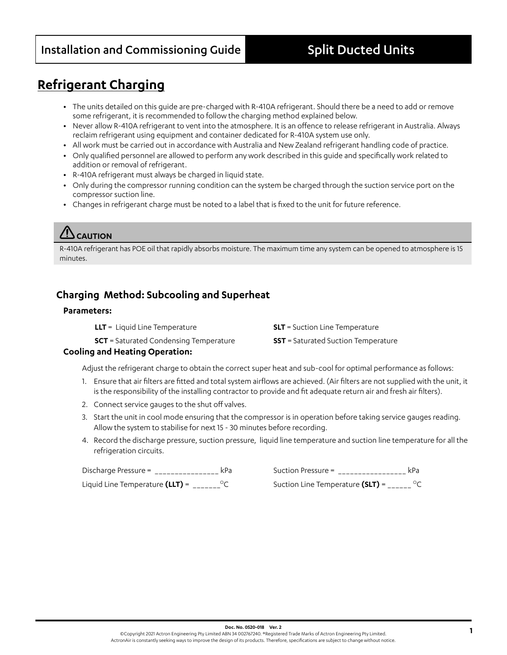## Installation and Commissioning Guide **Split Ducted Units**

## **Refrigerant Charging**

- **•** The units detailed on this guide are pre-charged with R-410A refrigerant. Should there be a need to add or remove some refrigerant, it is recommended to follow the charging method explained below.
- **•** Never allow R-410A refrigerant to vent into the atmosphere. It is an offence to release refrigerant in Australia. Always reclaim refrigerant using equipment and container dedicated for R-410A system use only.
- **•** All work must be carried out in accordance with Australia and New Zealand refrigerant handling code of practice.
- **•** Only qualified personnel are allowed to perform any work described in this guide and specifically work related to addition or removal of refrigerant.
- **•** R-410A refrigerant must always be charged in liquid state.
- **•** Only during the compressor running condition can the system be charged through the suction service port on the compressor suction line.
- **•** Changes in refrigerant charge must be noted to a label that is fixed to the unit for future reference.

## **CAUTION**

R-410A refrigerant has POE oil that rapidly absorbs moisture. The maximum time any system can be opened to atmosphere is 15 minutes.

### **Charging Method: Subcooling and Superheat**

### **Parameters:**

| <b>LLT</b> = Liquid Line Temperature          | <b>SLT</b> = Suction Line Temperature      |
|-----------------------------------------------|--------------------------------------------|
| <b>SCT</b> = Saturated Condensing Temperature | <b>SST</b> = Saturated Suction Temperature |

### **Cooling and Heating Operation:**

Adjust the refrigerant charge to obtain the correct super heat and sub-cool for optimal performance as follows:

- 1. Ensure that air filters are fitted and total system airflows are achieved. (Air filters are not supplied with the unit, it is the responsibility of the installing contractor to provide and fit adequate return air and fresh air filters).
- 2. Connect service gauges to the shut off valves.
- 3. Start the unit in cool mode ensuring that the compressor is in operation before taking service gauges reading. Allow the system to stabilise for next 15 - 30 minutes before recording.
- 4. Record the discharge pressure, suction pressure, liquid line temperature and suction line temperature for all the refrigeration circuits.

Discharge Pressure = \_\_\_\_\_\_\_\_\_\_\_\_\_\_\_\_\_ kPa Suction Pressure = \_\_\_\_\_\_\_\_\_\_\_\_\_\_\_\_\_\_ kPa

Liquid Line Temperature (LLT) = \_\_\_\_\_\_<sup>o</sup>C Suction Line Temperature (SLT) = \_\_\_\_\_<sup>o</sup>C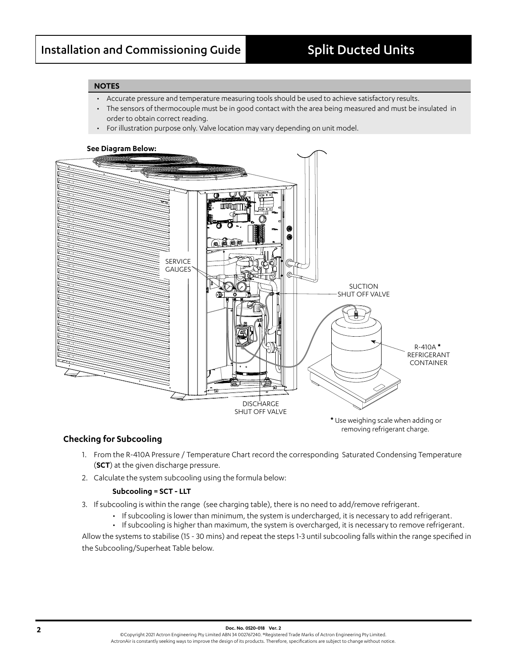removing refrigerant charge.

### **NOTES**

- Accurate pressure and temperature measuring tools should be used to achieve satisfactory results.
- The sensors of thermocouple must be in good contact with the area being measured and must be insulated in order to obtain correct reading.
- For illustration purpose only. Valve location may vary depending on unit model.

# **See Diagram Below: \*** Use weighing scale when adding or SERVICE GAUGES R-410A **\*** REFRIGERANT CONTAINER **DISCHARGE** SHUT OFF VALVE SUCTION SHUT OFF VALVE

### **Checking for Subcooling**

- 1. From the R-410A Pressure / Temperature Chart record the corresponding Saturated Condensing Temperature (**SCT**) at the given discharge pressure.
- 2. Calculate the system subcooling using the formula below:

### **Subcooling = SCT - LLT**

- 3. If subcooling is within the range (see charging table), there is no need to add/remove refrigerant.
	- If subcooling is lower than minimum, the system is undercharged, it is necessary to add refrigerant.

• If subcooling is higher than maximum, the system is overcharged, it is necessary to remove refrigerant. Allow the systems to stabilise (15 - 30 mins) and repeat the steps 1-3 until subcooling falls within the range specified in the Subcooling/Superheat Table below.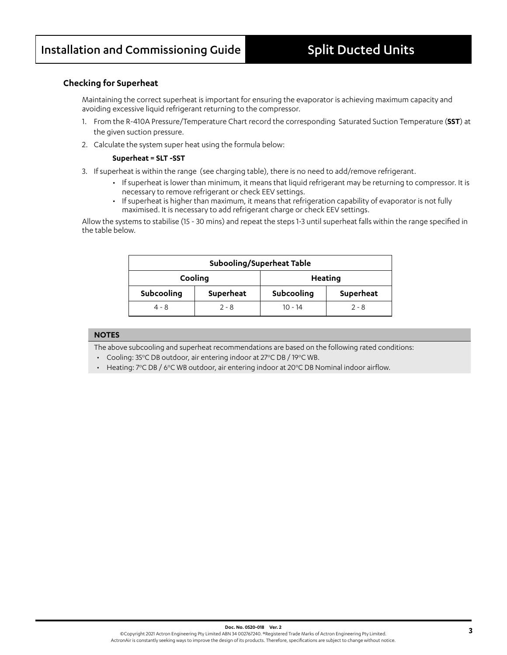### **Checking for Superheat**

Maintaining the correct superheat is important for ensuring the evaporator is achieving maximum capacity and avoiding excessive liquid refrigerant returning to the compressor.

- 1. From the R-410A Pressure/Temperature Chart record the corresponding Saturated Suction Temperature (**SST**) at the given suction pressure.
- 2. Calculate the system super heat using the formula below:

#### **Superheat = SLT -SST**

- 3. If superheat is within the range (see charging table), there is no need to add/remove refrigerant.
	- If superheat is lower than minimum, it means that liquid refrigerant may be returning to compressor. It is necessary to remove refrigerant or check EEV settings.
	- If superheat is higher than maximum, it means that refrigeration capability of evaporator is not fully maximised. It is necessary to add refrigerant charge or check EEV settings.

Allow the systems to stabilise (15 - 30 mins) and repeat the steps 1-3 until superheat falls within the range specified in the table below.

| Subooling/Superheat Table |           |            |           |  |  |  |  |
|---------------------------|-----------|------------|-----------|--|--|--|--|
|                           | Cooling   |            | Heating   |  |  |  |  |
| Subcooling                | Superheat | Subcooling | Superheat |  |  |  |  |
| $4 - 8$                   | $2 - 8$   | $10 - 14$  | $2 - 8$   |  |  |  |  |

### **NOTES**

The above subcooling and superheat recommendations are based on the following rated conditions:

• Cooling: 35°C DB outdoor, air entering indoor at 27°C DB / 19°C WB.

• Heating:  $7^{\circ}$ C DB / 6 $^{\circ}$ C WB outdoor, air entering indoor at 20 $^{\circ}$ C DB Nominal indoor airflow.